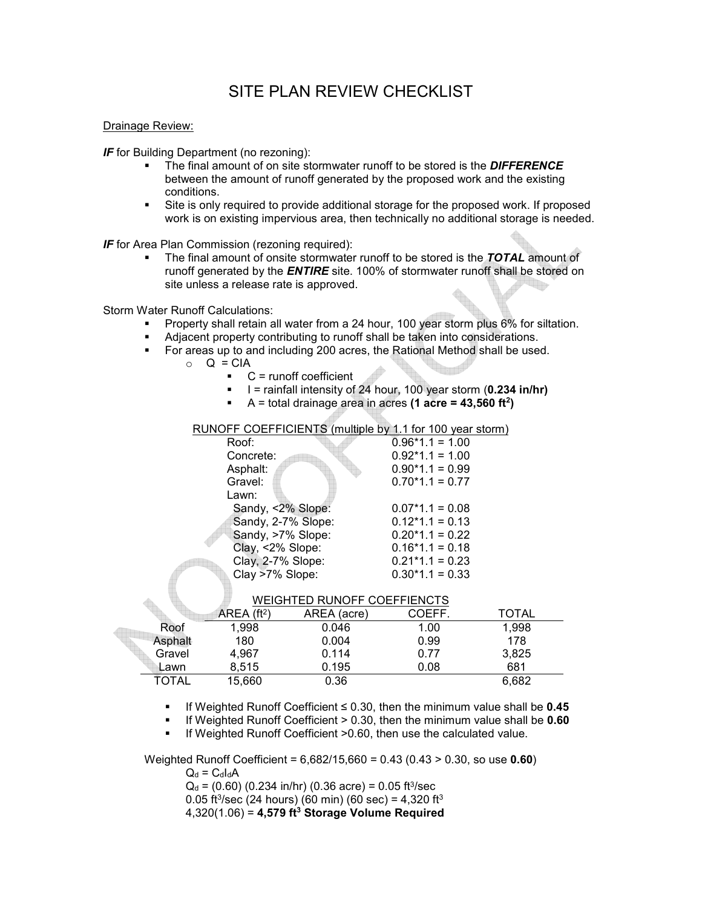# SITE PLAN REVIEW CHECKLIST

### Drainage Review:

*IF* for Building Department (no rezoning):

- The final amount of on site stormwater runoff to be stored is the *DIFFERENCE*  between the amount of runoff generated by the proposed work and the existing conditions.
- Site is only required to provide additional storage for the proposed work. If proposed work is on existing impervious area, then technically no additional storage is needed.

*IF* for Area Plan Commission (rezoning required):

 The final amount of onsite stormwater runoff to be stored is the *TOTAL* amount of runoff generated by the *ENTIRE* site. 100% of stormwater runoff shall be stored on site unless a release rate is approved.

Storm Water Runoff Calculations:

- Property shall retain all water from a 24 hour, 100 year storm plus 6% for siltation.
- Adjacent property contributing to runoff shall be taken into considerations.
- For areas up to and including 200 acres, the Rational Method shall be used.
	- $\circ$  Q = CIA
		- $\bullet$  C = runoff coefficient
		- I = rainfall intensity of 24 hour, 100 year storm (**0.234 in/hr)**
		- $\blacksquare$  A = total drainage area in acres (1 acre = 43,560 ft<sup>2</sup>)

## RUNOFF COEFFICIENTS (multiple by 1.1 for 100 year storm)

| Roof:              | $0.96*1.1 = 1.00$ |
|--------------------|-------------------|
| Concrete:          | $0.92*1.1 = 1.00$ |
| Asphalt:           | $0.90*1.1 = 0.99$ |
| Gravel:            | $0.70*1.1 = 0.77$ |
| Lawn:              |                   |
| Sandy, <2% Slope:  | $0.07*1.1 = 0.08$ |
| Sandy, 2-7% Slope: | $0.12*1.1 = 0.13$ |
| Sandy, >7% Slope:  | $0.20*1.1 = 0.22$ |
| Clay, <2% Slope:   | $0.16*1.1 = 0.18$ |
| Clay, 2-7% Slope:  | $0.21*1.1 = 0.23$ |
| Clay >7% Slope:    | $0.30*1.1 = 0.33$ |

| WEIGHTED RUNOFF COEFFIENCTS |  |
|-----------------------------|--|
|                             |  |

|              | AREA (ft <sup>2</sup> ) | AREA (acre) | COEFF. | TOTAL |  |
|--------------|-------------------------|-------------|--------|-------|--|
| Roof         | 1,998                   | 0.046       | 1.00   | 1.998 |  |
| Asphalt      | 180                     | 0.004       | 0.99   | 178   |  |
| Gravel       | 4.967                   | 0.114       | 0.77   | 3,825 |  |
| Lawn         | 8.515                   | 0.195       | 0.08   | 681   |  |
| <b>TOTAL</b> | 15,660                  | 0.36        |        | 6.682 |  |

- If Weighted Runoff Coefficient ≤ 0.30, then the minimum value shall be **0.45**
- If Weighted Runoff Coefficient > 0.30, then the minimum value shall be **0.60**

**If Weighted Runoff Coefficient >0.60, then use the calculated value.** 

Weighted Runoff Coefficient = 6,682/15,660 = 0.43 (0.43 > 0.30, so use **0.60**)

 $Q_d = C_d I_d A$ 

 $Q_d$  = (0.60) (0.234 in/hr) (0.36 acre) = 0.05 ft<sup>3</sup>/sec

0.05 ft<sup>3</sup>/sec (24 hours) (60 min) (60 sec) = 4,320 ft<sup>3</sup>

4,320(1.06) = **4,579 ft<sup>3</sup> Storage Volume Required**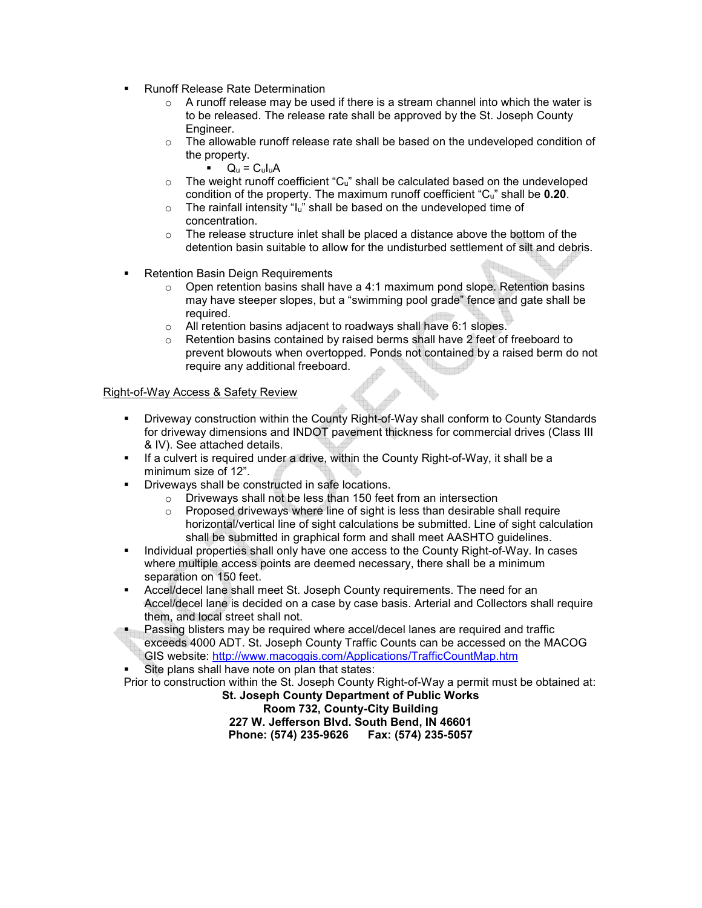- Runoff Release Rate Determination
	- $\circ$  A runoff release may be used if there is a stream channel into which the water is to be released. The release rate shall be approved by the St. Joseph County Engineer.
	- $\circ$  The allowable runoff release rate shall be based on the undeveloped condition of the property.
		- $Q_u = C_u I_u A$
	- $\circ$  The weight runoff coefficient "C<sub>u</sub>" shall be calculated based on the undeveloped condition of the property. The maximum runoff coefficient "Cu" shall be **0.20**.
	- $\circ$  The rainfall intensity "I<sub>u</sub>" shall be based on the undeveloped time of concentration.
	- $\circ$  The release structure inlet shall be placed a distance above the bottom of the detention basin suitable to allow for the undisturbed settlement of silt and debris.
- Retention Basin Deign Requirements
	- o Open retention basins shall have a 4:1 maximum pond slope. Retention basins may have steeper slopes, but a "swimming pool grade" fence and gate shall be required.
	- o All retention basins adjacent to roadways shall have 6:1 slopes.
	- o Retention basins contained by raised berms shall have 2 feet of freeboard to prevent blowouts when overtopped. Ponds not contained by a raised berm do not require any additional freeboard.

#### Right-of-Way Access & Safety Review

- Driveway construction within the County Right-of-Way shall conform to County Standards for driveway dimensions and INDOT pavement thickness for commercial drives (Class III & IV). See attached details.
- **If a culvert is required under a drive, within the County Right-of-Way, it shall be a** minimum size of 12".
	- Driveways shall be constructed in safe locations.
		- o Driveways shall not be less than 150 feet from an intersection
		- o Proposed driveways where line of sight is less than desirable shall require horizontal/vertical line of sight calculations be submitted. Line of sight calculation shall be submitted in graphical form and shall meet AASHTO guidelines.
- **Individual properties shall only have one access to the County Right-of-Way. In cases** where multiple access points are deemed necessary, there shall be a minimum separation on 150 feet.
- Accel/decel lane shall meet St. Joseph County requirements. The need for an Accel/decel lane is decided on a case by case basis. Arterial and Collectors shall require them, and local street shall not.
- Passing blisters may be required where accel/decel lanes are required and traffic exceeds 4000 ADT. St. Joseph County Traffic Counts can be accessed on the MACOG GIS website: http://www.macoggis.com/Applications/TrafficCountMap.htm
- Site plans shall have note on plan that states:

Prior to construction within the St. Joseph County Right-of-Way a permit must be obtained at:

**St. Joseph County Department of Public Works Room 732, County-City Building 227 W. Jefferson Blvd. South Bend, IN 46601 Phone: (574) 235-9626 Fax: (574) 235-5057**